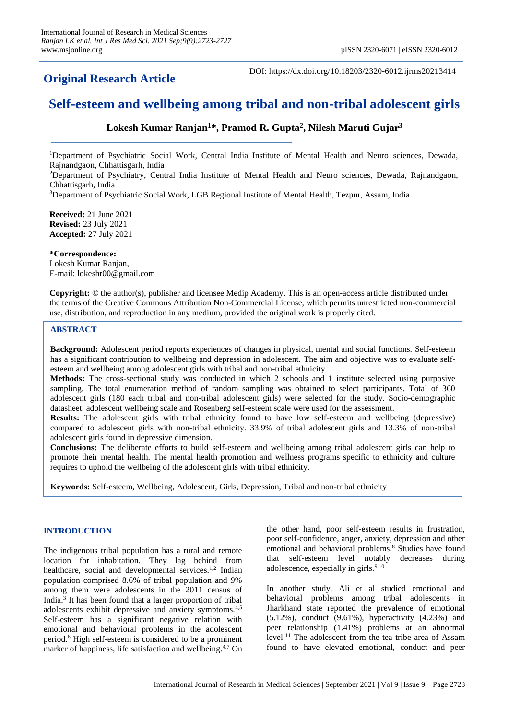# **Original Research Article**

DOI: https://dx.doi.org/10.18203/2320-6012.ijrms20213414

# **Self-esteem and wellbeing among tribal and non-tribal adolescent girls**

# **Lokesh Kumar Ranjan<sup>1</sup>\*, Pramod R. Gupta<sup>2</sup> , Nilesh Maruti Gujar<sup>3</sup>**

<sup>1</sup>Department of Psychiatric Social Work, Central India Institute of Mental Health and Neuro sciences, Dewada, Rajnandgaon, Chhattisgarh, India

<sup>2</sup>Department of Psychiatry, Central India Institute of Mental Health and Neuro sciences, Dewada, Rajnandgaon, Chhattisgarh, India

<sup>3</sup>Department of Psychiatric Social Work, LGB Regional Institute of Mental Health, Tezpur, Assam, India

**Received:** 21 June 2021 **Revised:** 23 July 2021 **Accepted:** 27 July 2021

**\*Correspondence:** Lokesh Kumar Ranjan, E-mail: lokeshr00@gmail.com

**Copyright:** © the author(s), publisher and licensee Medip Academy. This is an open-access article distributed under the terms of the Creative Commons Attribution Non-Commercial License, which permits unrestricted non-commercial use, distribution, and reproduction in any medium, provided the original work is properly cited.

# **ABSTRACT**

**Background:** Adolescent period reports experiences of changes in physical, mental and social functions. Self-esteem has a significant contribution to wellbeing and depression in adolescent. The aim and objective was to evaluate selfesteem and wellbeing among adolescent girls with tribal and non-tribal ethnicity.

**Methods:** The cross-sectional study was conducted in which 2 schools and 1 institute selected using purposive sampling. The total enumeration method of random sampling was obtained to select participants. Total of 360 adolescent girls (180 each tribal and non-tribal adolescent girls) were selected for the study. Socio-demographic datasheet, adolescent wellbeing scale and Rosenberg self-esteem scale were used for the assessment.

**Results:** The adolescent girls with tribal ethnicity found to have low self-esteem and wellbeing (depressive) compared to adolescent girls with non-tribal ethnicity. 33.9% of tribal adolescent girls and 13.3% of non-tribal adolescent girls found in depressive dimension.

**Conclusions:** The deliberate efforts to build self-esteem and wellbeing among tribal adolescent girls can help to promote their mental health. The mental health promotion and wellness programs specific to ethnicity and culture requires to uphold the wellbeing of the adolescent girls with tribal ethnicity.

**Keywords:** Self-esteem, Wellbeing, Adolescent, Girls, Depression, Tribal and non-tribal ethnicity

# **INTRODUCTION**

The indigenous tribal population has a rural and remote location for inhabitation. They lag behind from healthcare, social and developmental services.<sup>1,2</sup> Indian population comprised 8.6% of tribal population and 9% among them were adolescents in the 2011 census of India.<sup>3</sup> It has been found that a larger proportion of tribal adolescents exhibit depressive and anxiety symptoms.4,5 Self-esteem has a significant negative relation with emotional and behavioral problems in the adolescent period.<sup>6</sup> High self-esteem is considered to be a prominent marker of happiness, life satisfaction and wellbeing.4,7 On the other hand, poor self-esteem results in frustration, poor self-confidence, anger, anxiety, depression and other emotional and behavioral problems.<sup>8</sup> Studies have found that self-esteem level notably decreases during adolescence, especially in girls. $9,10$ 

In another study, Ali et al studied emotional and behavioral problems among tribal adolescents in Jharkhand state reported the prevalence of emotional  $(5.12\%)$ , conduct  $(9.61\%)$ , hyperactivity  $(4.23\%)$  and peer relationship (1.41%) problems at an abnormal level.<sup>11</sup> The adolescent from the tea tribe area of Assam found to have elevated emotional, conduct and peer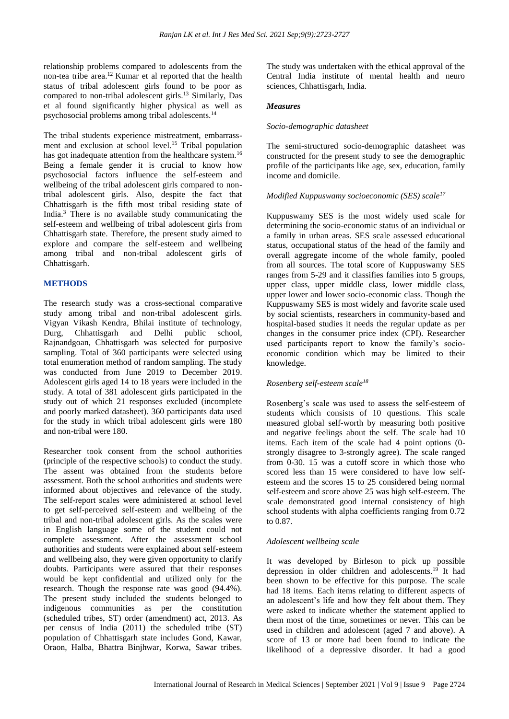relationship problems compared to adolescents from the non-tea tribe area.<sup>12</sup> Kumar et al reported that the health status of tribal adolescent girls found to be poor as compared to non-tribal adolescent girls.<sup>13</sup> Similarly, Das et al found significantly higher physical as well as psychosocial problems among tribal adolescents.<sup>14</sup>

The tribal students experience mistreatment, embarrassment and exclusion at school level.<sup>15</sup> Tribal population has got inadequate attention from the healthcare system.<sup>16</sup> Being a female gender it is crucial to know how psychosocial factors influence the self-esteem and wellbeing of the tribal adolescent girls compared to nontribal adolescent girls. Also, despite the fact that Chhattisgarh is the fifth most tribal residing state of India.<sup>3</sup> There is no available study communicating the self-esteem and wellbeing of tribal adolescent girls from Chhattisgarh state. Therefore, the present study aimed to explore and compare the self-esteem and wellbeing among tribal and non-tribal adolescent girls of Chhattisgarh.

# **METHODS**

The research study was a cross-sectional comparative study among tribal and non-tribal adolescent girls. Vigyan Vikash Kendra, Bhilai institute of technology, Durg, Chhattisgarh and Delhi public school, Rajnandgoan, Chhattisgarh was selected for purposive sampling. Total of 360 participants were selected using total enumeration method of random sampling. The study was conducted from June 2019 to December 2019. Adolescent girls aged 14 to 18 years were included in the study. A total of 381 adolescent girls participated in the study out of which 21 responses excluded (incomplete and poorly marked datasheet). 360 participants data used for the study in which tribal adolescent girls were 180 and non-tribal were 180.

Researcher took consent from the school authorities (principle of the respective schools) to conduct the study. The assent was obtained from the students before assessment. Both the school authorities and students were informed about objectives and relevance of the study. The self-report scales were administered at school level to get self-perceived self-esteem and wellbeing of the tribal and non-tribal adolescent girls. As the scales were in English language some of the student could not complete assessment. After the assessment school authorities and students were explained about self-esteem and wellbeing also, they were given opportunity to clarify doubts. Participants were assured that their responses would be kept confidential and utilized only for the research. Though the response rate was good (94.4%). The present study included the students belonged to indigenous communities as per the constitution (scheduled tribes, ST) order (amendment) act, 2013. As per census of India (2011) the scheduled tribe (ST) population of Chhattisgarh state includes Gond, Kawar, Oraon, Halba, Bhattra Binjhwar, Korwa, Sawar tribes.

The study was undertaken with the ethical approval of the Central India institute of mental health and neuro sciences, Chhattisgarh, India.

# *Measures*

### *Socio-demographic datasheet*

The semi-structured socio-demographic datasheet was constructed for the present study to see the demographic profile of the participants like age, sex, education, family income and domicile.

### *Modified Kuppuswamy socioeconomic (SES) scale<sup>17</sup>*

Kuppuswamy SES is the most widely used scale for determining the socio-economic status of an individual or a family in urban areas. SES scale assessed educational status, occupational status of the head of the family and overall aggregate income of the whole family, pooled from all sources. The total score of Kuppuswamy SES ranges from 5-29 and it classifies families into 5 groups, upper class, upper middle class, lower middle class, upper lower and lower socio-economic class. Though the Kuppuswamy SES is most widely and favorite scale used by social scientists, researchers in community-based and hospital-based studies it needs the regular update as per changes in the consumer price index (CPI). Researcher used participants report to know the family's socioeconomic condition which may be limited to their knowledge.

# *Rosenberg self-esteem scale<sup>18</sup>*

Rosenberg's scale was used to assess the self-esteem of students which consists of 10 questions. This scale measured global self-worth by measuring both positive and negative feelings about the self. The scale had 10 items. Each item of the scale had 4 point options (0 strongly disagree to 3-strongly agree). The scale ranged from 0-30. 15 was a cutoff score in which those who scored less than 15 were considered to have low selfesteem and the scores 15 to 25 considered being normal self-esteem and score above 25 was high self-esteem. The scale demonstrated good internal consistency of high school students with alpha coefficients ranging from 0.72 to 0.87.

#### *Adolescent wellbeing scale*

It was developed by Birleson to pick up possible depression in older children and adolescents.<sup>19</sup> It had been shown to be effective for this purpose. The scale had 18 items. Each items relating to different aspects of an adolescent's life and how they felt about them. They were asked to indicate whether the statement applied to them most of the time, sometimes or never. This can be used in children and adolescent (aged 7 and above). A score of 13 or more had been found to indicate the likelihood of a depressive disorder. It had a good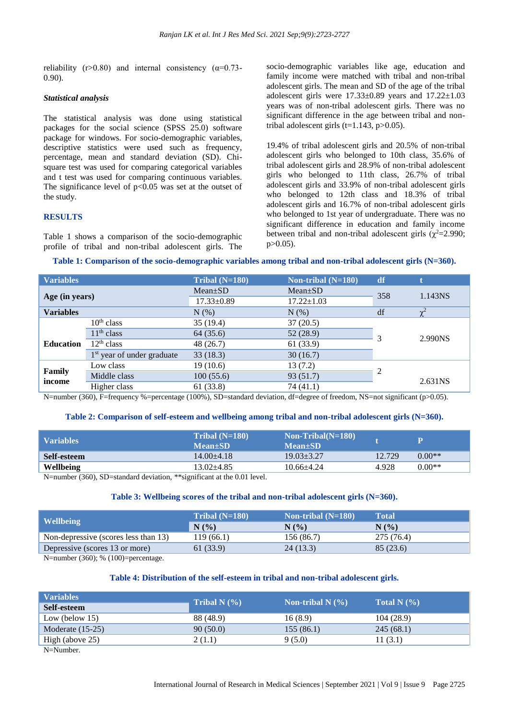reliability (r>0.80) and internal consistency ( $\alpha$ =0.73-0.90).

## *Statistical analysis*

The statistical analysis was done using statistical packages for the social science (SPSS 25.0) software package for windows. For socio-demographic variables, descriptive statistics were used such as frequency, percentage, mean and standard deviation (SD). Chisquare test was used for comparing categorical variables and t test was used for comparing continuous variables. The significance level of  $p<0.05$  was set at the outset of the study.

#### **RESULTS**

Table 1 shows a comparison of the socio-demographic profile of tribal and non-tribal adolescent girls. The socio-demographic variables like age, education and family income were matched with tribal and non-tribal adolescent girls. The mean and SD of the age of the tribal adolescent girls were  $17.33\pm0.89$  years and  $17.22\pm1.03$ years was of non-tribal adolescent girls. There was no significant difference in the age between tribal and nontribal adolescent girls (t=1.143,  $p > 0.05$ ).

19.4% of tribal adolescent girls and 20.5% of non-tribal adolescent girls who belonged to 10th class, 35.6% of tribal adolescent girls and 28.9% of non-tribal adolescent girls who belonged to 11th class, 26.7% of tribal adolescent girls and 33.9% of non-tribal adolescent girls who belonged to 12th class and 18.3% of tribal adolescent girls and 16.7% of non-tribal adolescent girls who belonged to 1st year of undergraduate. There was no significant difference in education and family income between tribal and non-tribal adolescent girls ( $\chi^2$ =2.990; p>0.05).

#### **Table 1: Comparison of the socio-demographic variables among tribal and non-tribal adolescent girls (N=360).**

| <b>Variables</b> |                              | Tribal $(N=180)$ | Non-tribal (N=180) | df  |          |
|------------------|------------------------------|------------------|--------------------|-----|----------|
| Age (in years)   |                              | $Mean \pm SD$    | $Mean \pm SD$      | 358 | 1.143NS  |
|                  |                              | 17.33±0.89       | $17.22 \pm 1.03$   |     |          |
| <b>Variables</b> |                              | $N$ $(\%)$       | $N(\%)$            | df  | $\chi^2$ |
|                  | $10th$ class                 | 35 (19.4)        | 37(20.5)           | 3   | 2.990NS  |
| <b>Education</b> | $11th$ class                 | 64 (35.6)        | 52(28.9)           |     |          |
|                  | $12th$ class                 | 48 (26.7)        | 61 (33.9)          |     |          |
|                  | $1st$ year of under graduate | 33(18.3)         | 30(16.7)           |     |          |
| Family<br>income | Low class                    | 19(10.6)         | 13(7.2)            | 2   |          |
|                  | Middle class                 | 100(55.6)        | 93(51.7)           |     | 2.631NS  |
|                  | Higher class                 | 61 (33.8)        | 74 (41.1)          |     |          |

N=number (360), F=frequency %=percentage (100%), SD=standard deviation, df=degree of freedom, NS=not significant (p>0.05).

#### **Table 2: Comparison of self-esteem and wellbeing among tribal and non-tribal adolescent girls (N=360).**

| <b>Variables</b>                                                                                                                  | Tribal $(N=180)$<br><b>Mean+SD</b> | $Non-Tribal(N=180)$<br>Mean+SD |        | P        |  |
|-----------------------------------------------------------------------------------------------------------------------------------|------------------------------------|--------------------------------|--------|----------|--|
| Self-esteem                                                                                                                       | $14.00 + 4.18$                     | $19.03 + 3.27$                 | 12.729 | $0.00**$ |  |
| <b>Wellbeing</b>                                                                                                                  | $13.02 + 4.85$                     | $10.66 + 4.24$                 | 4.928  | $0.00**$ |  |
| $N_{\text{number}}(260)$ $\Omega_{\text{R}}$ $\Omega_{\text{total}}$ deviation $*$ $\mathcal{R}_{\text{quant}}$ at the 0.01 level |                                    |                                |        |          |  |

N=number (360), SD=standard deviation, \*\*significant at the 0.01 level.

#### **Table 3: Wellbeing scores of the tribal and non-tribal adolescent girls (N=360).**

|                                      | Tribal $(N=180)$ | Non-tribal $(N=180)$ | Total      |
|--------------------------------------|------------------|----------------------|------------|
| <b>Wellbeing</b>                     | N(%              | N(%)                 | N(%        |
| Non-depressive (scores less than 13) | 119 (66.1)       | 156 (86.7)           | 275 (76.4) |
| Depressive (scores 13 or more)       | 61 (33.9)        | 24(13.3)             | 85 (23.6)  |

N=number (360); % (100)=percentage.

#### **Table 4: Distribution of the self-esteem in tribal and non-tribal adolescent girls.**

| <b>Variables</b>                           | Tribal N $(\% )$ | Non-tribal N $(% )$ | Total N $(\% )$ |  |
|--------------------------------------------|------------------|---------------------|-----------------|--|
| Self-esteem                                |                  |                     |                 |  |
| Low (below $15$ )                          | 88 (48.9)        | 16(8.9)             | 104(28.9)       |  |
| Moderate $(15-25)$                         | 90(50.0)         | 155(86.1)           | 245(68.1)       |  |
| High (above 25)                            | 2(1.1)           | 9(5.0)              | 11(3.1)         |  |
| $\mathbf{M}$ $\mathbf{M}$ and $\mathbf{L}$ |                  |                     |                 |  |

N=Number.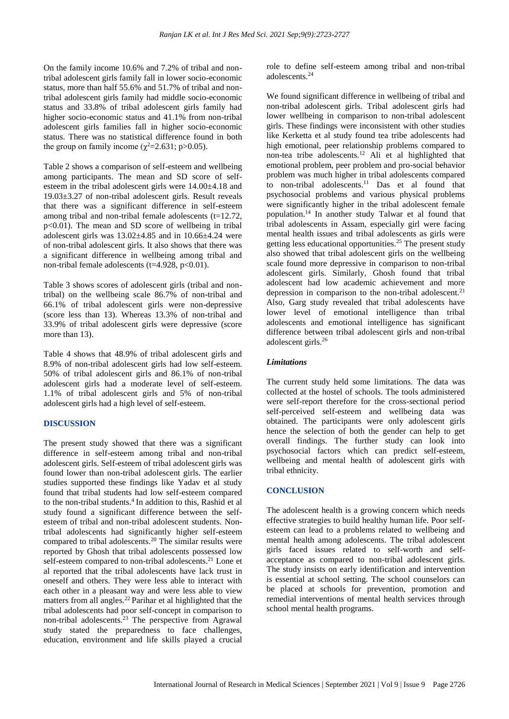On the family income 10.6% and 7.2% of tribal and nontribal adolescent girls family fall in lower socio-economic status, more than half 55.6% and 51.7% of tribal and nontribal adolescent girls family had middle socio-economic status and 33.8% of tribal adolescent girls family had higher socio-economic status and 41.1% from non-tribal adolescent girls families fall in higher socio-economic status. There was no statistical difference found in both the group on family income ( $\chi^2$ =2.631; p>0.05).

Table 2 shows a comparison of self-esteem and wellbeing among participants. The mean and SD score of selfesteem in the tribal adolescent girls were 14.00±4.18 and 19.03±3.27 of non-tribal adolescent girls. Result reveals that there was a significant difference in self-esteem among tribal and non-tribal female adolescents (t=12.72, p<0.01). The mean and SD score of wellbeing in tribal adolescent girls was  $13.02\pm4.85$  and in  $10.66\pm4.24$  were of non-tribal adolescent girls. It also shows that there was a significant difference in wellbeing among tribal and non-tribal female adolescents ( $t=4.928$ ,  $p<0.01$ ).

Table 3 shows scores of adolescent girls (tribal and nontribal) on the wellbeing scale 86.7% of non-tribal and 66.1% of tribal adolescent girls were non-depressive (score less than 13). Whereas 13.3% of non-tribal and 33.9% of tribal adolescent girls were depressive (score more than 13).

Table 4 shows that 48.9% of tribal adolescent girls and 8.9% of non-tribal adolescent girls had low self-esteem. 50% of tribal adolescent girls and 86.1% of non-tribal adolescent girls had a moderate level of self-esteem. 1.1% of tribal adolescent girls and 5% of non-tribal adolescent girls had a high level of self-esteem.

#### **DISCUSSION**

The present study showed that there was a significant difference in self-esteem among tribal and non-tribal adolescent girls. Self-esteem of tribal adolescent girls was found lower than non-tribal adolescent girls. The earlier studies supported these findings like Yadav et al study found that tribal students had low self-esteem compared to the non-tribal students.<sup>4</sup> In addition to this, Rashid et al study found a significant difference between the selfesteem of tribal and non-tribal adolescent students. Nontribal adolescents had significantly higher self-esteem compared to tribal adolescents.<sup>20</sup> The similar results were reported by Ghosh that tribal adolescents possessed low self-esteem compared to non-tribal adolescents.<sup>21</sup> Lone et al reported that the tribal adolescents have lack trust in oneself and others. They were less able to interact with each other in a pleasant way and were less able to view matters from all angles.<sup>22</sup> Parihar et al highlighted that the tribal adolescents had poor self-concept in comparison to non-tribal adolescents.<sup>23</sup> The perspective from Agrawal study stated the preparedness to face challenges, education, environment and life skills played a crucial role to define self-esteem among tribal and non-tribal adolescents.<sup>24</sup>

We found significant difference in wellbeing of tribal and non-tribal adolescent girls. Tribal adolescent girls had lower wellbeing in comparison to non-tribal adolescent girls. These findings were inconsistent with other studies like Kerketta et al study found tea tribe adolescents had high emotional, peer relationship problems compared to non-tea tribe adolescents.<sup>12</sup> Ali et al highlighted that emotional problem, peer problem and pro-social behavior problem was much higher in tribal adolescents compared to non-tribal adolescents.<sup>11</sup> Das et al found that psychosocial problems and various physical problems were significantly higher in the tribal adolescent female population.<sup>14</sup> In another study Talwar et al found that tribal adolescents in Assam, especially girl were facing mental health issues and tribal adolescents as girls were getting less educational opportunities.<sup>25</sup> The present study also showed that tribal adolescent girls on the wellbeing scale found more depressive in comparison to non-tribal adolescent girls. Similarly, Ghosh found that tribal adolescent had low academic achievement and more depression in comparison to the non-tribal adolescent.<sup>21</sup> Also, Garg study revealed that tribal adolescents have lower level of emotional intelligence than tribal adolescents and emotional intelligence has significant difference between tribal adolescent girls and non-tribal adolescent girls.<sup>26</sup>

## *Limitations*

The current study held some limitations. The data was collected at the hostel of schools. The tools administered were self-report therefore for the cross-sectional period self-perceived self-esteem and wellbeing data was obtained. The participants were only adolescent girls hence the selection of both the gender can help to get overall findings. The further study can look into psychosocial factors which can predict self-esteem, wellbeing and mental health of adolescent girls with tribal ethnicity.

#### **CONCLUSION**

The adolescent health is a growing concern which needs effective strategies to build healthy human life. Poor selfesteem can lead to a problems related to wellbeing and mental health among adolescents. The tribal adolescent girls faced issues related to self-worth and selfacceptance as compared to non-tribal adolescent girls. The study insists on early identification and intervention is essential at school setting. The school counselors can be placed at schools for prevention, promotion and remedial interventions of mental health services through school mental health programs.